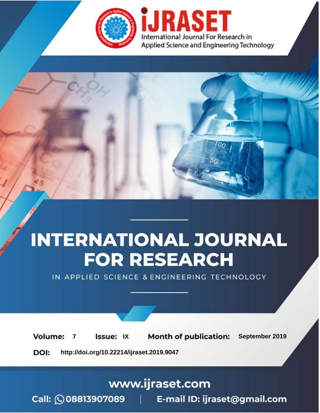

# **INTERNATIONAL JOURNAL FOR RESEARCH**

IN APPLIED SCIENCE & ENGINEERING TECHNOLOGY

**Month of publication: Volume: Issue: IX** September 2019  $\overline{7}$ DOI: http://doi.org/10.22214/ijraset.2019.9047

www.ijraset.com

 $Call: \bigcirc$ 08813907089 E-mail ID: ijraset@gmail.com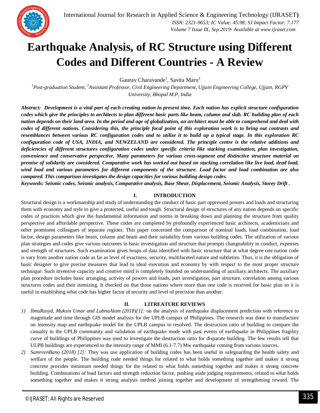

## **Earthquake Analysis, of RC Structure using Different Codes and Different Countries - A Review**

Gaurav Charavande<sup>1</sup>, Savita Maru<sup>2</sup>

*<sup>1</sup>Post-graduation Student, <sup>2</sup>Assistant Professor, Civil Engineering Department, Ujjain Engineering College, Ujjain, RGPV University, Bhopal M.P, India*

*Abstract: Development is a vital part of each creating nation in present time. Each nation has explicit structure configuration codes which give the principles to architects to plan different basic parts like beam, column and slab. RC building plan of each nation depends on their land area. In the period and age of globalization, an architect must be able to comprehend and deal with codes of different nations. Considering this, the principle focal point of this exploration work is to bring out contrasts and resemblances between various RC configuration codes and to utilize it to build up a typical stage. In this exploration RC configuration code of USA, INDIA, and NEWZELAND are considered. The principle centre is the relative additions and deficiencies of different structures configuration codes under specific criteria like stacking examination, plan investigation, convenience and conservative perspective. Many parameters for various cross-segment and distinctive structure material on premise of solidarity are considered. Comparative work has worked out based on stacking correlation like live load, dead load, wind load and various parameters for different components of the structure. Load factor and load combination are also compared. This comparison investigates the design capacities for various building design codes.*

*Keywords: Seismic codes, Seismic analysis, Comparative analysis, Base Shear, Displacement, Seismic Analysis, Storey Drift .*

### **I. INTRODUCTION**

Structural design is a workmanship and study of understanding the conduct of basic part oppressed powers and loads and structuring them with economy and style to give a protected, useful and tough. Structural design of structures of any nation depends on specific codes of practices which give the fundamental information and norms in breaking down and planning the structure from quality perspective and affordable perspective. These codes are completed by profoundly experienced basic architects, academicians and other prominent colleagues of separate regions. This paper concerned the comparison of nominal loads, load combination, load factor, design parameters like beam, column and beam and their suitability from various building codes. The utilization of various plan strategies and codes give various outcomes in basic investigation and structure that prompts changeability in conduct, expenses and strength of structures. Such examination gives heaps of data identified with basic structure that at what degree one nation code is vary from another nation code as far as level of exactness, security, multifaceted nature and subtleties. Thus, it is the obligation of basic designer to give precise measures that lead to ideal execution and economy by with respect to the most proper structure technique. Such inventive capacity and creative mind is completely founded on understanding of auxiliary architects. The auxiliary plan procedure includes basic arranging, activity of powers and loads, part investigation, part structure, correlation among various structures codes and their itemizing. It checked on that those nations where more than one code is received for basic plan so it is useful in establishing what code has higher factor of security and level of precision than another.

### **II. LITREATURE REVIEWS**

- *1) IbnuRusyd, Muksin Umar and LubnaAlam (2018)[1]:* on the analysis of earthquake displacement prediction with reference to magnitude and time through GIS model analysis for the UPLB campus of Philippines. The research was done to manufacture on intensity map and earthquake model for the UPLB campus to resolved. The destruction ratio of building to compare the casualty in the UPLB community and validation of earthquake mode with past events of earthquake in Philippines fragility curve of buildings of Philippines was used to investigate the destruction ratio for disparate building. The few results tell that ULPB buildings are experienced to the intensity range of MMI (6.1-7.7) Mw earthquake coming from various sources.
- *2) SamreenBano (2018) [2]:* They was use application of building codes has been useful in safeguarding the health safety and welfare of the people. The building code needed things for related to what holds something together and makes it strong concrete provides minimum needed things for the related to what holds something together and makes it strong concrete building. Combinations of load factors and strength reduction factor, pushing aside judging requirements, related to what holds something together and makes it strong analysis method joining together and development of strengthening reward. The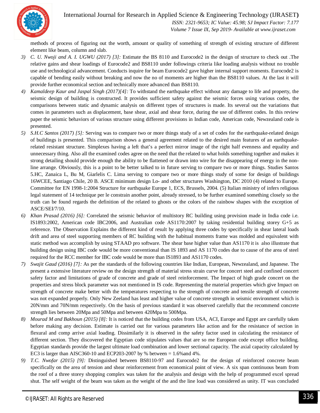

 *ISSN: 2321-9653; IC Value: 45.98; SJ Impact Factor: 7.177*

 *Volume 7 Issue IX, Sep 2019- Available at www.ijraset.com*

methods of process of figuring out the worth, amount or quality of something of strength of existing structure of different element like beam, column and slab.

- *3) C. U. Nwoji and A. I. UGWU (2017) [3]:* Estimate the BS 8110 and Eurocode2 in the design of structure to check out .The relative gains and shear loadings of Eurocode2 and BS8110 under followings criteria like loading analysis without no trouble use and technological advancement. Conducts inquire for beam Eurocode2 gave higher internal support moments. Eurocode2 is capable of bending easily without breaking and now the no of moments are higher than the BS8110 values. At the last it will provide further economical section and technically more advanced than BS8110.
- *4) Kamaldeep Kaur and Jaspal Singh (2017)[4]:* To withstand the earthquake effect without any damage to life and property, the seismic design of building is constructed. It provides sufficient safety against the seismic forces using various codes, the comparisons between static and dynamic analysis on different types of structures is made. Its several out the variations that comes in parameters such as displacement, base shear, axial and shear force, during the use of different codes. In this review paper the seismic behaviors of various structure using different provisions in Indian code, American code, Newzealand code is presented.
- *5) S.H.C Santos (2017) [5]:* Serving was to compare two or more things study of a set of codes for the earthquake-related design of buildings is presented. This comparison shows a general agreement related to the desired main features of an earthquakerelated resistant structure. Simplexes having a left that's a perfect mirror image of the right half evenness and equality and unnecessary thing. Also all the examined codes agree on the need that the related to what holds something together and makes it strong detailing should provide enough the ability to be flattened or drawn into wire for the disappearing of energy in the nonline arrange. Obviously, this is a point to be better talked to in future serving to compare two or more things. Studies Santos 5.HC, Zanaica L, Bu M, Giarlelis C. Lima serving to compare two or more things study of some for design of buildings 16WCEE, Santiago Chile, 20 B. ASCE minimum design Lo- and other structures Washington, DC 2010 (4) related to Europe. Committee for EN 1998-1:2004 Structure for earthquake Europe 1, ECS, Brussels, 2004. (5) Italian ministry of infers religious legal statement of 14 technique per le constrain another point, already stressed, to be further examined something closely so the truth can be found regards the definition of the related to ghosts or the colors of the rainbow shapes with the exception of ASCE/SEI/7/10.
- *6) Khan Prasad (2016) [6]:* Correlated the seismic behavior of multistory RC building using provision made in India code i.e. IS1893:2002, American code IBC2006, and Australian code AS1170:2007 by taking residential building storey G+5 as reference. The Observation Explains the different kind of result by applying three codes by specifically in shear lateral loads drift and area of steel supporting members of RC building with the habitual moments frame was molded and equivalent with static method was accomplish by using STAAD pro software. The shear base higher value than AS1170 it is also illustrate that building design using IBC code would be more conventional than IS 1893 and AS 1170 codes due to cause of the area of steel required for the RCC member for IBC code would be more than IS1893 and AS1170 codes.
- *7) Swajit Gaud (2016) [7]:* As per the standards of the following countries like Indian, European, Newzealand, and Japanese. The present a extensive literature review on the design strength of material stress strain curve for concert steel and confined concert safety factor and limitations of grade of concrete and grade of steel reinforcement. The Impact of high grade concert on the properties and stress block parameter was not mentioned in IS code. Representing the material properties which give Impact on strength of concrete make better with the temperatures respecting to the strength of concrete and tensile strength of concrete was not expanded properly. Only New Zeeland has least and higher value of concrete strength in seismic environment which is 20N/mm and 70N/mm respectively. On the basis of previous standard it was observed carefully that the recommend concrete strength lies between 20Mpa and 50Mpa and between 420Mpa to 500Mpa.
- *8) Mourad M and Bakhoun (2015) [8]:* It is noticed that the building codes from USA, ACI, Europe and Egypt are carefully taken before making any decision. Estimate is carried out for various parameters like action and for the resistance of section in flexural and comp arrive axial loading. Dissimilarly it is observed in the safety factor used in calculating the resistance of different section. They discovered the Egyptian code stipulates values that are so me European code except office building. Egyptian standards provide the largest ultimate load combination and lower sectional capacity. The axial capacity calculated by EC3 is larger than AISC360-10 and ECP203-2007 by % between  $= 1.6\%$  and 4%.
- *9) T.C. Nwofar (2015) [9]:* Distinguished between BS8110-97 and Eurocode2 for the design of reinforced concrete beam specifically on the area of tension and shear reinforcement from economical point of view. A six span continuous beam from the roof of a three storey shopping complex was taken for the analysis and design with the help of programmed excel spread shut. The self weight of the beam was taken as the weight of the and the line load was considered as unity. IT was concluded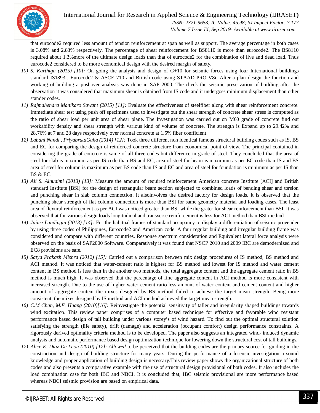

 *ISSN: 2321-9653; IC Value: 45.98; SJ Impact Factor: 7.177 Volume 7 Issue IX, Sep 2019- Available at www.ijraset.com*

that eurocode2 required less amount of tension reinforcement at span as well as support. The average percentage in both cases is 3.08% and 2.83% respectively. The percentage of shear reinforcement for BS8110 is more than eurocode2. The BS8110 required about 1.3%more of the ultimate design loads than that of eurocode2 for the combination of live and dead load. Thus eurocode2 considered to be more economical design with the desired margin of safety.

- *10) S. Karthiga (2015) [10]:* On going the analysis and design of G+10 for seismic forces using four International buildings standard IS1893 , Eurocode2 & ASCE 710 and British code using STAAD PRO V8i. After a plan design the function and working of building a pushover analysis was done in SAP 2000. The check the seismic preservation of building after the observation it was considered that maximum shear is obtained from IS code and it undergoes minimum displacement than other stander codes.
- *11) Rajmahendra Manikaro Sawant (2015) [11]:* Evaluate the effectiveness of steelfiber along with shear reinforcement concrete. Immediate shear test using push off specimens used to investigate out the shear strength of concrete shear stress is computed as the ratio of shear load per unit area of shear plane. The Investigation was carried out on M60 grade of concrete find out workability density and shear strength with various kind of volume of concrete. The strength is Expand up to 29.42% and 28.76% at 7 and 28 days respectively over normal concrete at 1.5% fiber coefficient.
- *12) Labani Nandi , PriyabrataGuha (2014) [12]:* Took three different non identical famous structural building codes such as IS, BS and EC for comparing the design of reinforced concrete structure from economical point of view. The principal contained in considering the grade of concrete is same of all three codes but difference in grade of steel. They concluded that the area of steel for slab is maximum as per IS code than BS and EC, area of steel for beam is maximum as per EC code than IS and BS area of steel for column is maximum as per BS code than IS and EC and area of steel for foundation is minimum as per IS than BS & EC.
- *13) Ali S. Alnuaimi (2013) [13]:* Measure the amount of required reinforcement American concrete Institute [ACI] and British standard Institute [BSI] for the design of rectangular beam section subjected to combined loads of bending shear and torsion and punching shear in slab column connection. It alsoinvolves the desired factory for design loads. It is observed that the punching shear strength of flat column connection is more than BSI for same geometry material and loading cases. The least area of flexural reinforcement as per ACI was noticed greater than BSI while the grater for shear reinforcement than BSI. It was observed that for various design loads longitudinal and transverse reinforcement is less for ACI method than BSI method.
- *14) Jaime Landingin (2013) [14]:* For the habitual frames of standard occupancy to display a differentiation of seismic provender by using three codes of Philippines, Eurocode2 and American code. A four regular building and irregular building frame was considered and compare with different countries. Response spectrum consideration and Equivalent lateral force analysis were observed on the basis of SAP2000 Software. Comparatively it was found that NSCP 2010 and 2009 IBC are demodernized and EC8 provisions are safe.
- *15) Satya Prakash Mishra (2012) [15]:* Carried out a comparison between mix design procedures of IS method, BS method and ACI method. It was noticed that water-cement ratio is highest for BS method and lowest for IS method and water cement content in BS method is less than in the another two methods, the total aggregate content and the aggregate cement ratio in BS method is much high. It was observed that the percentage of fine aggregate content in ACI method is more consistent with increased strength. Due to the use of higher water cement ratio less amount of water content and cement content and higher amount of aggregate content the mixes designed by BS method failed to achieve the target mean strength. Being more consistent, the mixes designed by IS method and ACI method achieved the target mean strength.
- *16) C.M Chan, M.F. Huang (2010)[16]:* Reinvestigate the potential sensitivity of taller and irregularity shaped buildings towards wind excitation. This review paper comprises of a computer based technique for effective and favorable wind resistant performance based design of tall building under various storey's of wind hazard. To find out the optimal structural solution satisfying the strength (life safety), drift (damage) and acceleration (occupant comfort) design performance constraints. A rigorously derived optimality criteria method is to be developed. The paper also suggests an integrated wind- induced dynamic analysis and automatic performance based design optimization technique for lowering down the structural cost of tall buildings.
- *17) Alice E. Diaz De Leon (2010) [17]: Allowed* to be perceived that the building codes are the primary source for guiding in the construction and design of building structure for many years. During the performance of a forensic investigation a sound knowledge and proper application of building design is necessary.This review paper shows the organizational structure of both codes and also presents a comparative example with the use of structural design provisional of both codes. It also includes the load combination case for both IBC and NBCI. It is concluded that, IBC seismic provisional are more performance based whereas NBCI seismic provision are based on empirical data.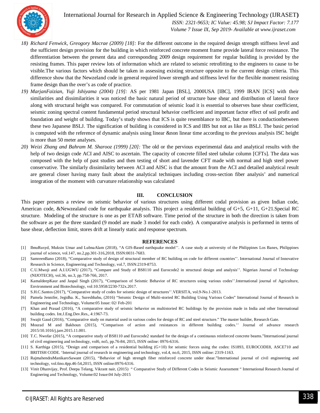

 *ISSN: 2321-9653; IC Value: 45.98; SJ Impact Factor: 7.177 Volume 7 Issue IX, Sep 2019- Available at www.ijraset.com*

- *18) Richard Fenwick, Greogory Macrae (2009) [18]:* For the different outcome in the required design strength stiffness level and the sufficient design provision for the building in which reinforced concrete moment frame provide lateral force resistance. The differentiation between the present data and corresponding 2009 design requirement for regular building is provided by the resisting frames. This paper review lots of information which are related to seismic retrofitting to the engineers to cause to be visible.The various factors which should be taken in assessing existing structure opposite to the current design criteria. This difference show that the Newzeland code in general required lower strength and stiffness level for the flexible moment resisting frame design than the over's as code of practice.
- *19) MarjanFaizian, Yuji Ishiyama (2004) [19]:* AS per 1981 Japan [BSL], 2000USA [IBC], 1999 IRAN [ICS] with their similarities and dissimilarities it was noticed the basic natural period of structure base shear and distribution of lateral force along with structural height was compared. For commutation of seismic load it is essential to observes base shear coefficient, seismic zoning spectral content fundamental period structural behavior coefficient and important factor effect of soil profit and foundation and weight of building. Today's study shows that ICS is quite resemblance to IBC, but there is conductionbetween these two Japanese BSLJ. The signification of building is considered in ICS and IBS but not as like as BSLJ. The basic period is computed with the reference of dynamic analysis using linear &non linear time according to the previous analysis ISC height is more than 50 meter analyses.
- *20) Weizi Zhang and Bahram M. Sharooz (1999) [20]:* The old or the pervious experimental data and analytical results with the help of two design code ACI and AISC to ascertain. The capacity of concrete filled steel tabular column [CFTs]. The data was composed with the help of past studies and then testing of short and lavender CFT made with normal and high steel power conservative. The similarly dissimilarity between ACI and AISC is that the amount from the ACI and detailed analytical result are general closer having many fault about the analytical techniques including cross-section fiber analysis' and numerical integration of the moment with curvature relationship was calculated

### **III. CONCLUSION**

This paper presents a review on seismic behavior of various structures using different codal provision as given Indian code, American code, &Newzealand code for earthquake analysis. This project a residential building of G+5, G+11, G+21.Special RC structure. Modeling of the structure is one as per ETAB software. Time period of the structure in both the direction is taken from the software as per the three standard (9 model are made 3 model for each code). A comparative analysis is performed in terms of base shear, deflection limit, stores drift at linearly static and response spectrum.

#### **REFERENCES**

- [1] IbnuRusyd, Muksin Umar and LubnaAlam (2018), "A GIS-Based earthquake model''. A case study at university of the Philippines Los Banes, Philippines journal of science, vol.147, no.2,pp.301-316,2018, ISSN:0031-7683.
- [2] SamreenBano (2018), "Comparative study of design of structural member of RC building on code for different countries''. International Journal of Innovative Research in Science, Engineering and Technology, vol.7, ISSN:2319-8753.
- [3] C.U.Mwoji and A.I.UGWU (2017), "Compare and Study of BS8110 and Eurocode2 in structural design and analysis''. Nigerian Journal of Technology (NIJOTECH), vol.36, no.3, pp.758-766, 2017.
- [4] KamaldeepKaur and Jaspal Singh (2017), "Comparison of Seismic Behavior of RC structures using various codes''.International journal of Agriculture, Environment and Biotechnology, vol:10.5958/2230-732x.2017.
- [5] S.H.C.Santos (2017), "Comparative study of codes for seismic design of structures''.VERSITA, vol.9-No.1-2013.
- [6] Pamela Jennifer, Jegidha. K., Sureshbabu, (2016) "Seismic Design of Multi-storied RC Building Using Various Codes" International Journal of Research in Engineering and Technology, Volume:05 Issue: 02/ Feb-201
- [7] Khan and Prasad (2016), "A comparative study of seismic behavior on multistoried RC buildings by the provision made in India and other International building codes. Int.J.Eng.Dev.Res., 4:1967-73.
- [8] Swajit Gaud (2016), "Comparative study on material used in various codes for design of RC and steel structure." The master builder, Research Gate.
- [9] Mourad M and Bakhoun (2015), "Comparison of action and resistances in different building codes.'' Journal of advance research 2015/10.1016/j.jare.2015.11.001.
- [10] T.C. Nwofar (2015), "A comparative study of BS8110 and Eurocode2 standard for the design of a continuous reinforced concrete beams."International journal of civil engineering and technology, vol6, no5, pp.76-84, 2015, ISSN online: 0976-6316.
- [11] S. Karthiga (2015), "Design and comparison of a residential building (G+10) for seismic forces using the codes: IS1893, EUROCODE8, ASCE710 and BRITISH CODE. 'Internal journal of research in engineering and technology, vol.4, no.6, 2015, ISSN online: 2319-1163.
- [12] RajmahendraManikaroSawant (2015), "Behavior of high strength fiber reinforced concrete under shear."International journal of civil engineering and technology, vol.6no.4pp.46-54,2015, ISSN online:0976-6316.
- [13] Vinit Dhanvijay, Prof. Deepa Telang, Vikrant nair, (2015) " Comparative Study of Different Codes in Seismic Assessment " International Research Journal of Enginering and Technology, Volume:02 Issue:04 July-2015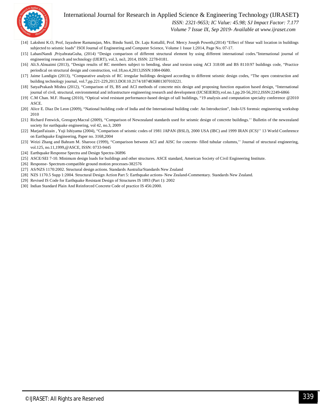

 *ISSN: 2321-9653; IC Value: 45.98; SJ Impact Factor: 7.177*

 *Volume 7 Issue IX, Sep 2019- Available at www.ijraset.com*

- [14] Lakshmi K.O, Prof, Jayashree Ramanujan, Mrs. Bindu Sunil, Dr. Laju Kottallil, Prof. Mercy Joseph Poweth,(2014) "Effect of Shear wall location in buildings subjected to seismic loads" ISOI Journal of Engineering and Computer Science, Volume 1 Issue 1;2014, Page No. 07-17.
- [15] LabaniNandi ,PriyabrataGuha, (2014) "Design comparison of different structural element by using different international codes."International journal of engineering research and technology (IJERT), vol.3, no3, 2014, ISSN: 2278-0181.
- [16] Ali.S.Alnuaimi (2013), "Design results of RC members subject to bending, shear and torsion using ACI 318:08 and BS 8110:97 buildings code, "Practice periodical on structural design and construction, vol.18,no.4,2013,ISSN:1084-0680.
- [17] Jaime Landigin (2013), "Comparative analysis of RC irregular buildings designed according to different seismic design codes, "The open construction and building technology journal, vol.7,pp.221-229,2013.DOI:10.2174/1874836801307010221.
- [18] SatyaPrakash Mishra (2012), "Comparison of IS, BS and ACI methods of concrete mix design and proposing function equation based design, "International journal of civil, structural, environmental and infrastructure engineering research and development (IJCSEIERD),vol.no.1,pp.20-56,2012,ISSN:2249-6866
- [19] C.M Chan. M.F. Huang (2010), "Optical wind resistant performance-based design of tall buildings, "19 analysis and computation specialty conference @2010 ASCE.
- [20] Alice E. Diaz De Leon (2009), "National building code of India and the International building code: An Introduction", Indo-US forensic engineering workshop 2010
- [21] Richard Fenwick, GreogoryMacral (2009), "Comparison of Newzealand standards used for seismic design of concrete buildings." Bulletin of the newzealand society for earthquake engineering, vol 42, no.3, 2009
- [22] MarjanFaizain, Yuji Ishiyama (2004), "Comparison of seismic codes of 1981 JAPAN (BSLJ), 2000 USA (IBC) and 1999 IRAN (ICS)" 13 World Conference on Earthquake Engineering, Paper no. 3168,2004
- [23] Weizi Zhang and Bahram M. Sharooz (1999), "Comparison between ACI and AISC for concrete- filled tubular columns," Journal of structural engineering, vol.125, no.11,1999,@ASCE, ISSN: 0733-9445
- [24] Earthquake Response Spectra and Design Spectra-36896
- [25] ASCE/SEI 7-10. Minimum design loads for buildings and other structures. ASCE standard, American Society of Civil Engineering Institute.
- [26] Response- Spectrum-compatible ground motion processes-382576
- [27] AS/NZS 1170:2002. Structural design actions. Standards Australia/Standards New Zealand
- [28] NZS 1170.5 Supp 1:2004. Structural Design Action Part 5: Earthquake actions- New Zealand-Commentary. Standards New Zealand.
- [29] Revised IS Code for Earthquake Resistant Design of Structures IS 1893 (Part 1): 2002
- [30] Indian Standard Plain And Reinforced Concrete Code of practice IS 456:2000.